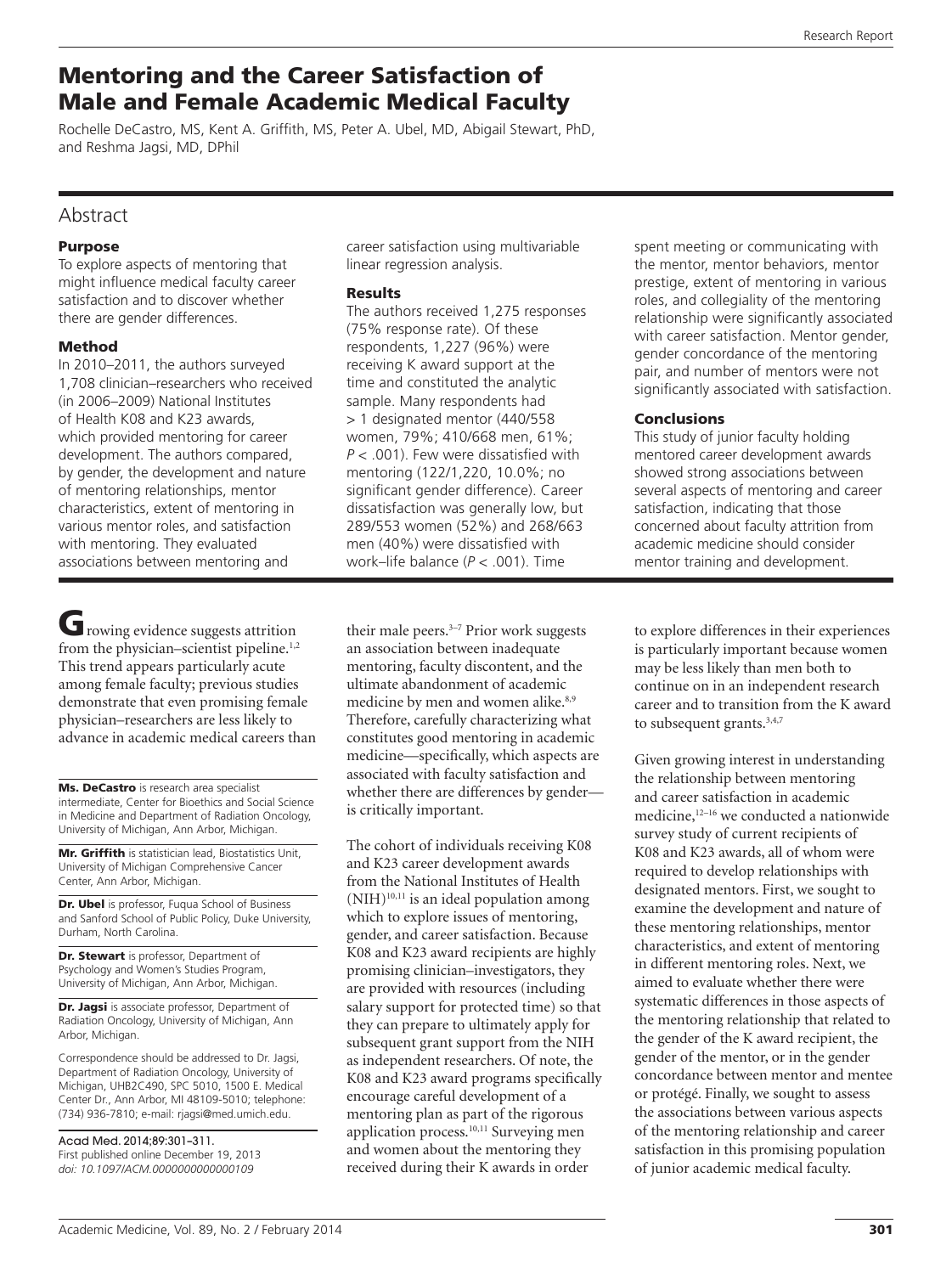# Mentoring and the Career Satisfaction of Male and Female Academic Medical Faculty

Rochelle DeCastro, MS, Kent A. Griffith, MS, Peter A. Ubel, MD, Abigail Stewart, PhD, and Reshma Jagsi, MD, DPhil

# Abstract

### Purpose

To explore aspects of mentoring that might influence medical faculty career satisfaction and to discover whether there are gender differences.

## Method

In 2010–2011, the authors surveyed 1,708 clinician–researchers who received (in 2006–2009) National Institutes of Health K08 and K23 awards, which provided mentoring for career development. The authors compared, by gender, the development and nature of mentoring relationships, mentor characteristics, extent of mentoring in various mentor roles, and satisfaction with mentoring. They evaluated associations between mentoring and

Growing evidence suggests attrition from the physician–scientist pipeline.<sup>1,2</sup> This trend appears particularly acute among female faculty; previous studies demonstrate that even promising female physician–researchers are less likely to advance in academic medical careers than

Ms. DeCastro is research area specialist intermediate, Center for Bioethics and Social Science in Medicine and Department of Radiation Oncology, University of Michigan, Ann Arbor, Michigan.

Mr. Griffith is statistician lead, Biostatistics Unit, University of Michigan Comprehensive Cancer Center, Ann Arbor, Michigan.

Dr. Ubel is professor, Fuqua School of Business and Sanford School of Public Policy, Duke University, Durham, North Carolina.

Dr. Stewart is professor, Department of Psychology and Women's Studies Program, University of Michigan, Ann Arbor, Michigan.

Dr. Jagsi is associate professor, Department of Radiation Oncology, University of Michigan, Ann Arbor, Michigan.

Correspondence should be addressed to Dr. Jagsi, Department of Radiation Oncology, University of Michigan, UHB2C490, SPC 5010, 1500 E. Medical Center Dr., Ann Arbor, MI 48109-5010; telephone: (734) 936-7810; e-mail: [rjagsi@med.umich.edu.](mailto:rjagsi@med.umich.edu)

Acad Med. 2014;89:301–311. First published online December 19, 2013 *doi: 10.1097/ACM.0000000000000109*

career satisfaction using multivariable linear regression analysis.

### Results

The authors received 1,275 responses (75% response rate). Of these respondents, 1,227 (96%) were receiving K award support at the time and constituted the analytic sample. Many respondents had > 1 designated mentor (440/558 women, 79%; 410/668 men, 61%; *P* < .001). Few were dissatisfied with mentoring (122/1,220, 10.0%; no significant gender difference). Career dissatisfaction was generally low, but 289/553 women (52%) and 268/663 men (40%) were dissatisfied with work–life balance (*P* < .001). Time

their male peers.<sup>3-7</sup> Prior work suggests an association between inadequate mentoring, faculty discontent, and the ultimate abandonment of academic medicine by men and women alike.<sup>8,9</sup> Therefore, carefully characterizing what constitutes good mentoring in academic medicine—specifically, which aspects are associated with faculty satisfaction and whether there are differences by gender is critically important.

The cohort of individuals receiving K08 and K23 career development awards from the National Institutes of Health  $(NIH)^{10,11}$  is an ideal population among which to explore issues of mentoring, gender, and career satisfaction. Because K08 and K23 award recipients are highly promising clinician–investigators, they are provided with resources (including salary support for protected time) so that they can prepare to ultimately apply for subsequent grant support from the NIH as independent researchers. Of note, the K08 and K23 award programs specifically encourage careful development of a mentoring plan as part of the rigorous application process.10,11 Surveying men and women about the mentoring they received during their K awards in order

spent meeting or communicating with the mentor, mentor behaviors, mentor prestige, extent of mentoring in various roles, and collegiality of the mentoring relationship were significantly associated with career satisfaction. Mentor gender, gender concordance of the mentoring pair, and number of mentors were not significantly associated with satisfaction.

# **Conclusions**

This study of junior faculty holding mentored career development awards showed strong associations between several aspects of mentoring and career satisfaction, indicating that those concerned about faculty attrition from academic medicine should consider mentor training and development.

to explore differences in their experiences is particularly important because women may be less likely than men both to continue on in an independent research career and to transition from the K award to subsequent grants.<sup>3,4,7</sup>

Given growing interest in understanding the relationship between mentoring and career satisfaction in academic medicine,<sup>12-16</sup> we conducted a nationwide survey study of current recipients of K08 and K23 awards, all of whom were required to develop relationships with designated mentors. First, we sought to examine the development and nature of these mentoring relationships, mentor characteristics, and extent of mentoring in different mentoring roles. Next, we aimed to evaluate whether there were systematic differences in those aspects of the mentoring relationship that related to the gender of the K award recipient, the gender of the mentor, or in the gender concordance between mentor and mentee or protégé. Finally, we sought to assess the associations between various aspects of the mentoring relationship and career satisfaction in this promising population of junior academic medical faculty.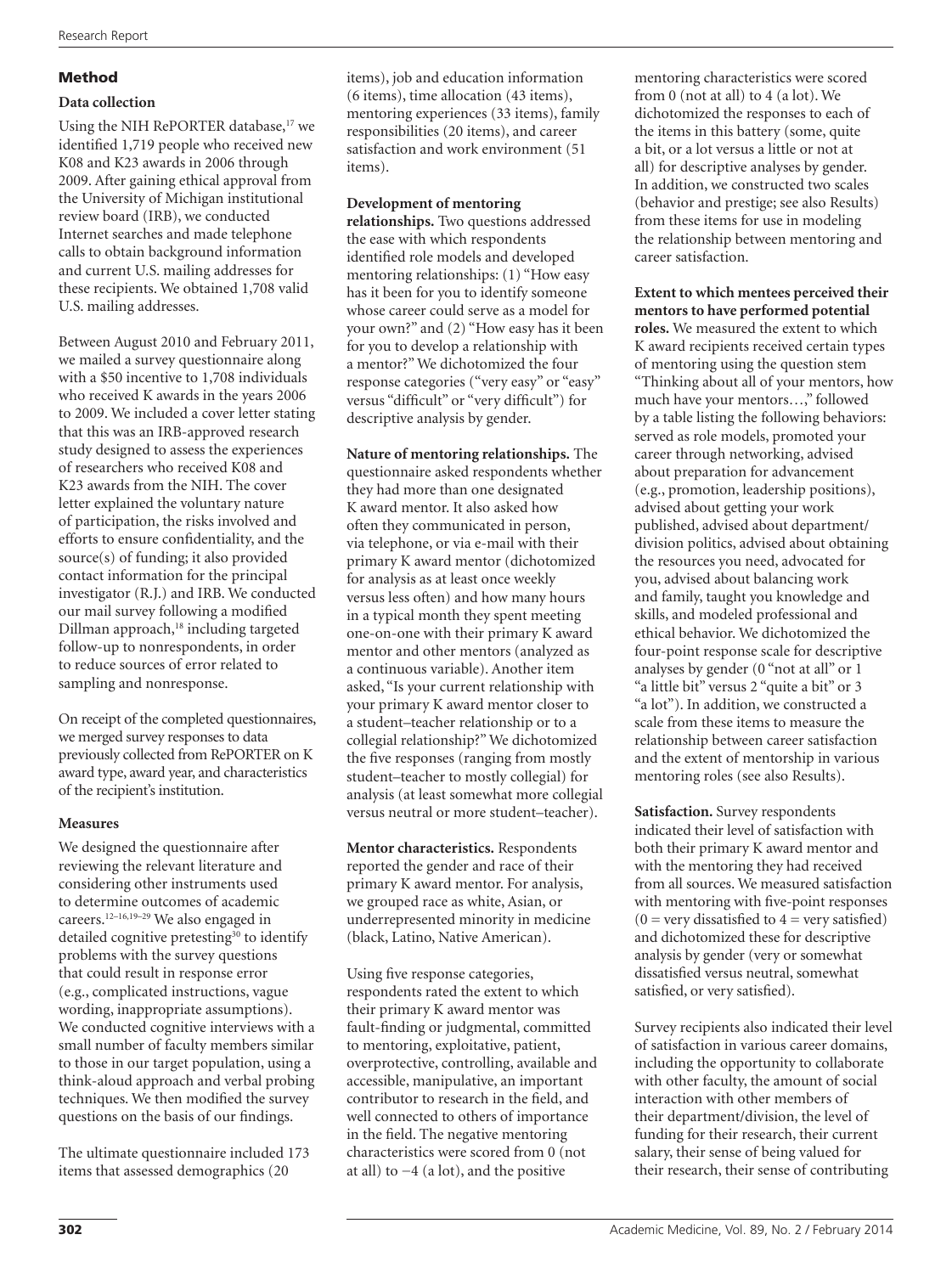# Method

## **Data collection**

Using the NIH RePORTER database, $17$  we identified 1,719 people who received new K08 and K23 awards in 2006 through 2009. After gaining ethical approval from the University of Michigan institutional review board (IRB), we conducted Internet searches and made telephone calls to obtain background information and current U.S. mailing addresses for these recipients. We obtained 1,708 valid U.S. mailing addresses.

Between August 2010 and February 2011, we mailed a survey questionnaire along with a \$50 incentive to 1,708 individuals who received K awards in the years 2006 to 2009. We included a cover letter stating that this was an IRB-approved research study designed to assess the experiences of researchers who received K08 and K23 awards from the NIH. The cover letter explained the voluntary nature of participation, the risks involved and efforts to ensure confidentiality, and the source(s) of funding; it also provided contact information for the principal investigator (R.J.) and IRB. We conducted our mail survey following a modified Dillman approach,<sup>18</sup> including targeted follow-up to nonrespondents, in order to reduce sources of error related to sampling and nonresponse.

On receipt of the completed questionnaires, we merged survey responses to data previously collected from RePORTER on K award type, award year, and characteristics of the recipient's institution.

# **Measures**

We designed the questionnaire after reviewing the relevant literature and considering other instruments used to determine outcomes of academic careers.12–16,19–29 We also engaged in detailed cognitive pretesting<sup>30</sup> to identify problems with the survey questions that could result in response error (e.g., complicated instructions, vague wording, inappropriate assumptions). We conducted cognitive interviews with a small number of faculty members similar to those in our target population, using a think-aloud approach and verbal probing techniques. We then modified the survey questions on the basis of our findings.

The ultimate questionnaire included 173 items that assessed demographics (20

items), job and education information (6 items), time allocation (43 items), mentoring experiences (33 items), family responsibilities (20 items), and career satisfaction and work environment (51 items).

### **Development of mentoring**

**relationships.** Two questions addressed the ease with which respondents identified role models and developed mentoring relationships: (1) "How easy has it been for you to identify someone whose career could serve as a model for your own?" and (2) "How easy has it been for you to develop a relationship with a mentor?" We dichotomized the four response categories ("very easy" or "easy" versus "difficult" or "very difficult") for descriptive analysis by gender.

**Nature of mentoring relationships.** The questionnaire asked respondents whether they had more than one designated K award mentor. It also asked how often they communicated in person, via telephone, or via e-mail with their primary K award mentor (dichotomized for analysis as at least once weekly versus less often) and how many hours in a typical month they spent meeting one-on-one with their primary K award mentor and other mentors (analyzed as a continuous variable). Another item asked, "Is your current relationship with your primary K award mentor closer to a student–teacher relationship or to a collegial relationship?" We dichotomized the five responses (ranging from mostly student–teacher to mostly collegial) for analysis (at least somewhat more collegial versus neutral or more student–teacher).

**Mentor characteristics.** Respondents reported the gender and race of their primary K award mentor. For analysis, we grouped race as white, Asian, or underrepresented minority in medicine (black, Latino, Native American).

Using five response categories, respondents rated the extent to which their primary K award mentor was fault-finding or judgmental, committed to mentoring, exploitative, patient, overprotective, controlling, available and accessible, manipulative, an important contributor to research in the field, and well connected to others of importance in the field. The negative mentoring characteristics were scored from 0 (not at all) to −4 (a lot), and the positive

mentoring characteristics were scored from 0 (not at all) to 4 (a lot). We dichotomized the responses to each of the items in this battery (some, quite a bit, or a lot versus a little or not at all) for descriptive analyses by gender. In addition, we constructed two scales (behavior and prestige; see also Results) from these items for use in modeling the relationship between mentoring and career satisfaction.

**Extent to which mentees perceived their mentors to have performed potential roles.** We measured the extent to which K award recipients received certain types of mentoring using the question stem "Thinking about all of your mentors, how much have your mentors…," followed by a table listing the following behaviors: served as role models, promoted your career through networking, advised about preparation for advancement (e.g., promotion, leadership positions), advised about getting your work published, advised about department/ division politics, advised about obtaining the resources you need, advocated for you, advised about balancing work and family, taught you knowledge and skills, and modeled professional and ethical behavior. We dichotomized the four-point response scale for descriptive analyses by gender (0 "not at all" or 1 "a little bit" versus 2 "quite a bit" or 3 "a lot"). In addition, we constructed a scale from these items to measure the relationship between career satisfaction and the extent of mentorship in various mentoring roles (see also Results).

**Satisfaction.** Survey respondents indicated their level of satisfaction with both their primary K award mentor and with the mentoring they had received from all sources. We measured satisfaction with mentoring with five-point responses  $(0 = \text{very dissatisfied to } 4 = \text{very satisfied})$ and dichotomized these for descriptive analysis by gender (very or somewhat dissatisfied versus neutral, somewhat satisfied, or very satisfied).

Survey recipients also indicated their level of satisfaction in various career domains, including the opportunity to collaborate with other faculty, the amount of social interaction with other members of their department/division, the level of funding for their research, their current salary, their sense of being valued for their research, their sense of contributing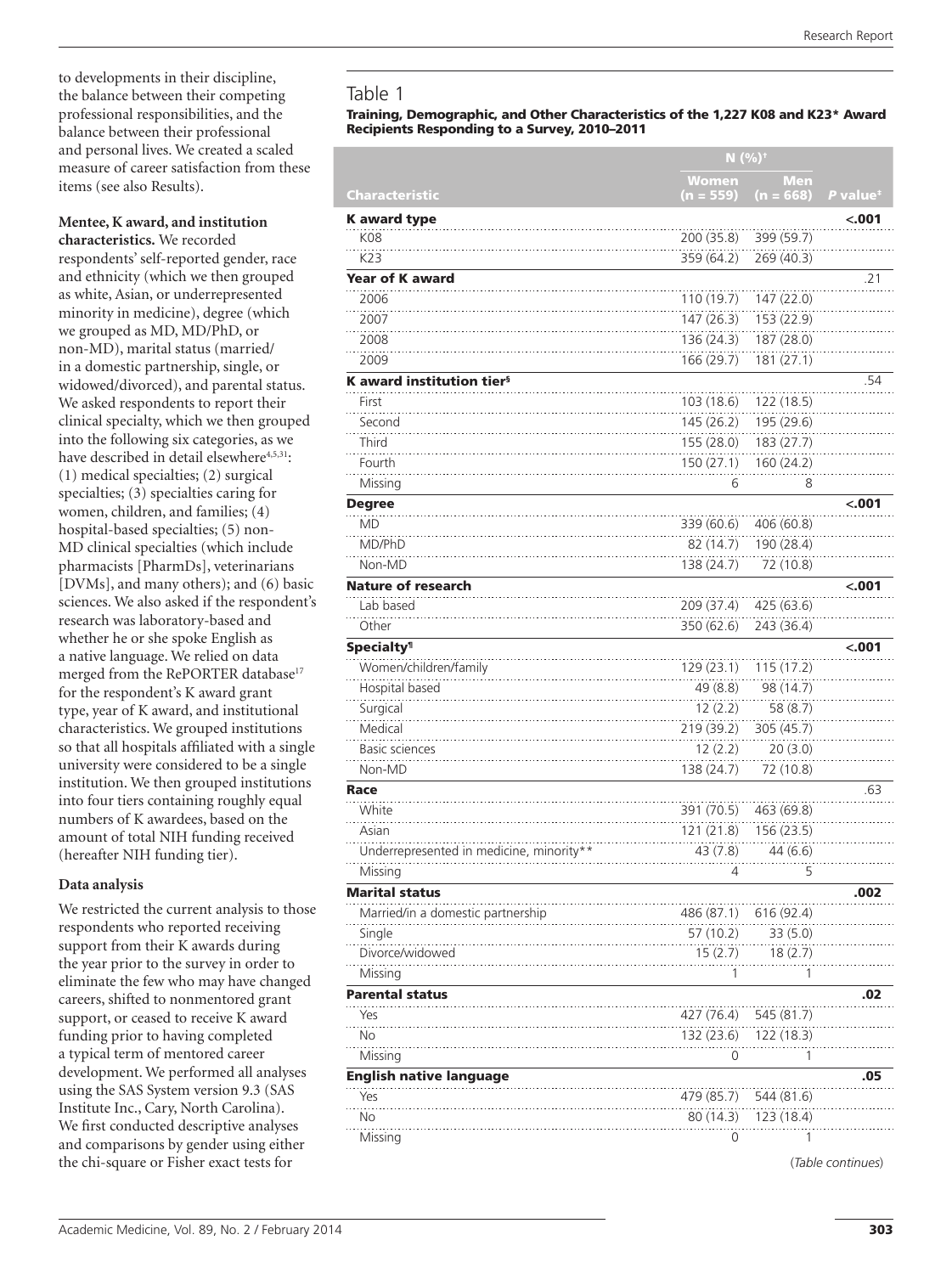to developments in their discipline, the balance between their competing professional responsibilities, and the balance between their professional and personal lives. We created a scaled measure of career satisfaction from these items (see also Results).

# **Mentee, K award, and institution**

**characteristics.** We recorded respondents' self-reported gender, race and ethnicity (which we then grouped as white, Asian, or underrepresented minority in medicine), degree (which we grouped as MD, MD/PhD, or non-MD), marital status (married/ in a domestic partnership, single, or widowed/divorced), and parental status. We asked respondents to report their clinical specialty, which we then grouped into the following six categories, as we have described in detail elsewhere<sup>4,5,31</sup>: (1) medical specialties; (2) surgical specialties; (3) specialties caring for women, children, and families; (4) hospital-based specialties; (5) non-MD clinical specialties (which include pharmacists [PharmDs], veterinarians [DVMs], and many others); and (6) basic sciences. We also asked if the respondent's research was laboratory-based and whether he or she spoke English as a native language. We relied on data merged from the RePORTER database<sup>17</sup> for the respondent's K award grant type, year of K award, and institutional characteristics. We grouped institutions so that all hospitals affiliated with a single university were considered to be a single institution. We then grouped institutions into four tiers containing roughly equal numbers of K awardees, based on the amount of total NIH funding received (hereafter NIH funding tier).

# **Data analysis**

We restricted the current analysis to those respondents who reported receiving support from their K awards during the year prior to the survey in order to eliminate the few who may have changed careers, shifted to nonmentored grant support, or ceased to receive K award funding prior to having completed a typical term of mentored career development. We performed all analyses using the SAS System version 9.3 (SAS Institute Inc., Cary, North Carolina). We first conducted descriptive analyses and comparisons by gender using either the chi-square or Fisher exact tests for

# Table 1

### Training, Demographic, and Other Characteristics of the 1,227 K08 and K23\* Award Recipients Responding to a Survey, 2010–2011

|                                          |             | $N$ (%) <sup>+</sup> |                      |
|------------------------------------------|-------------|----------------------|----------------------|
|                                          | Women       | <b>Men</b>           |                      |
| Characteristic                           | $(n = 559)$ | $(n = 668)$          | P value <sup>#</sup> |
| <b>K</b> award type                      |             |                      | $-.001$              |
| K08                                      | 200 (35.8)  | 399 (59.7)           |                      |
| K23                                      | 359 (64.2)  | 269 (40.3)           |                      |
| <b>Year of K award</b>                   |             |                      | .21                  |
| 2006                                     | 110 (19.7)  | 147 (22.0)           |                      |
| 2007                                     | 147(26.3)   | 153 (22.9)           |                      |
| 2008                                     | 136 (24.3)  | 187 (28.0)           |                      |
| 2009                                     | 166 (29.7)  | 181 (27.1)           |                      |
| K award institution tier <sup>§</sup>    |             |                      | .54                  |
| First                                    | 103 (18.6)  | 122(18.5)            |                      |
| Second                                   | 145 (26.2)  | 195 (29.6)           |                      |
| Third                                    | 155 (28.0)  | 183 (27.7)           |                      |
| Fourth                                   | 150(27.1)   | 160 (24.2)           |                      |
| Missing                                  | 6           | 8                    |                      |
| <b>Degree</b>                            |             |                      | $-.001$              |
| MD                                       | 339 (60.6)  | 406 (60.8)           |                      |
| MD/PhD                                   | 82 (14.7)   | 190 (28.4)           |                      |
| Non-MD                                   | 138 (24.7)  | 72 (10.8)            |                      |
| <b>Nature of research</b>                |             |                      | <.001                |
| Lab based                                | 209 (37.4)  | 425 (63.6)           |                      |
| Other                                    | 350 (62.6)  | 243 (36.4)           |                      |
| <b>Specialty<sup>1</sup></b>             |             |                      | < .001               |
| Women/children/family                    | 129 (23.1)  | 115(17.2)            |                      |
| Hospital based                           | 49 (8.8)    | 98 (14.7)            |                      |
| Surgical                                 | 12(2.2)     | 58 (8.7)             |                      |
| Medical                                  | 219 (39.2)  | 305 (45.7)           |                      |
| <b>Basic sciences</b>                    | 12(2.2)     | 20(3.0)              |                      |
| Non-MD                                   | 138 (24.7)  | 72 (10.8)            |                      |
| Race                                     |             |                      | .63                  |
| White                                    | 391 (70.5)  | 463 (69.8)           |                      |
| Asian                                    | 121 (21.8)  | 156 (23.5)           |                      |
| Underrepresented in medicine, minority** | 43 (7.8)    | 44 (6.6)             |                      |
| Missing                                  | 4           | 5                    |                      |
| <b>Marital status</b>                    |             |                      | .002                 |
| Married/in a domestic partnership        | 486 (87.1)  | 616 (92.4)           |                      |
| Single                                   | 57 (10.2)   | 33(5.0)              |                      |
| Divorce/widowed                          | 15(2.7)     | 18(2.7)              |                      |
| Missing                                  | 1           | 1                    |                      |
| <b>Parental status</b>                   |             |                      | .02                  |
| Yes                                      | 427 (76.4)  | 545 (81.7)           |                      |
| No                                       | 132 (23.6)  | 122 (18.3)           |                      |
| Missing                                  | 0           | 1                    |                      |
| English native language                  |             |                      | .05                  |
| Yes                                      | 479 (85.7)  | 544 (81.6)           |                      |
| No                                       | 80 (14.3)   | 123 (18.4)           |                      |
| Missing                                  | 0           |                      |                      |

(*Table continues*)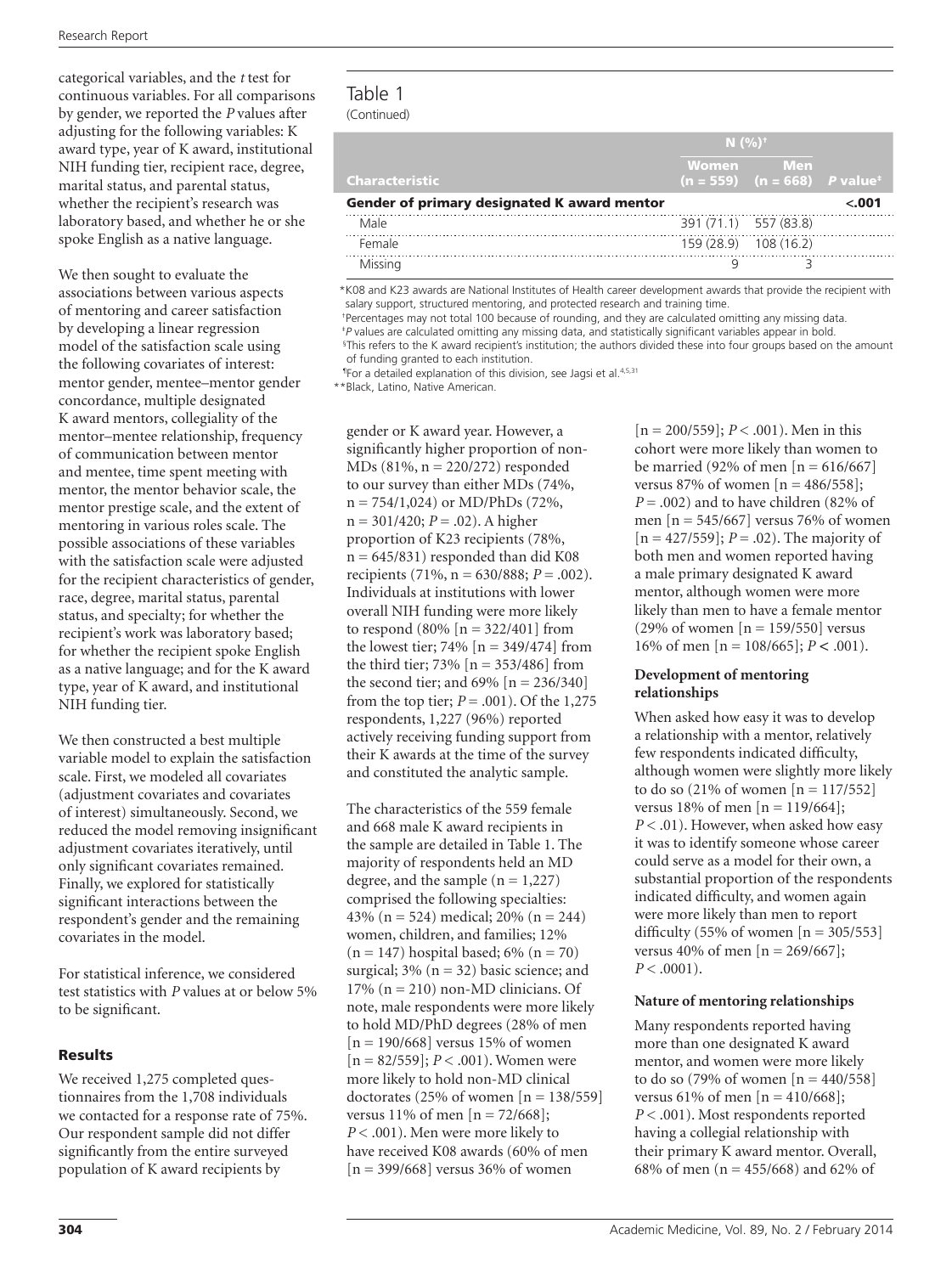categorical variables, and the *t* test for continuous variables. For all comparisons by gender, we reported the *P* values after adjusting for the following variables: K award type, year of K award, institutional NIH funding tier, recipient race, degree, marital status, and parental status, whether the recipient's research was laboratory based, and whether he or she spoke English as a native language.

We then sought to evaluate the associations between various aspects of mentoring and career satisfaction by developing a linear regression model of the satisfaction scale using the following covariates of interest: mentor gender, mentee–mentor gender concordance, multiple designated K award mentors, collegiality of the mentor–mentee relationship, frequency of communication between mentor and mentee, time spent meeting with mentor, the mentor behavior scale, the mentor prestige scale, and the extent of mentoring in various roles scale. The possible associations of these variables with the satisfaction scale were adjusted for the recipient characteristics of gender, race, degree, marital status, parental status, and specialty; for whether the recipient's work was laboratory based; for whether the recipient spoke English as a native language; and for the K award type, year of K award, and institutional NIH funding tier.

We then constructed a best multiple variable model to explain the satisfaction scale. First, we modeled all covariates (adjustment covariates and covariates of interest) simultaneously. Second, we reduced the model removing insignificant adjustment covariates iteratively, until only significant covariates remained. Finally, we explored for statistically significant interactions between the respondent's gender and the remaining covariates in the model.

For statistical inference, we considered test statistics with *P* values at or below 5% to be significant.

## Results

We received 1,275 completed questionnaires from the 1,708 individuals we contacted for a response rate of 75%. Our respondent sample did not differ significantly from the entire surveyed population of K award recipients by

# Table 1 (Continued)

|                                             | $N(%)^{+}$            |                                                              |       |
|---------------------------------------------|-----------------------|--------------------------------------------------------------|-------|
| <b>Characteristic</b>                       | Women                 | - Men<br>$(n = 559)$ $(n = 668)$ <i>P</i> value <sup>+</sup> |       |
| Gender of primary designated K award mentor |                       |                                                              | <.001 |
| Male                                        | 391 (71.1) 557 (83.8) |                                                              |       |
| Female                                      |                       | 159 (28.9) 108 (16.2)                                        |       |
| Missina                                     |                       |                                                              |       |

\*K08 and K23 awards are National Institutes of Health career development awards that provide the recipient with salary support, structured mentoring, and protected research and training time.

 †Percentages may not total 100 because of rounding, and they are calculated omitting any missing data. ‡*P* values are calculated omitting any missing data, and statistically significant variables appear in bold. § This refers to the K award recipient's institution; the authors divided these into four groups based on the amount

of funding granted to each institution.

<sup>1</sup>For a detailed explanation of this division, see Jagsi et al.<sup>4,5,31</sup>

\*\*Black, Latino, Native American.

gender or K award year. However, a significantly higher proportion of non-MDs (81%, n = 220/272) responded to our survey than either MDs (74%, n = 754/1,024) or MD/PhDs (72%, n = 301/420; *P* = .02). A higher proportion of K23 recipients (78%,  $n = 645/831$ ) responded than did K08 recipients (71%,  $n = 630/888$ ;  $P = .002$ ). Individuals at institutions with lower overall NIH funding were more likely to respond (80%  $[n = 322/401]$  from the lowest tier; 74%  $[n = 349/474]$  from the third tier;  $73\%$  [n =  $353/486$ ] from the second tier; and  $69\%$  [n = 236/340] from the top tier;  $P = .001$ ). Of the 1,275 respondents, 1,227 (96%) reported actively receiving funding support from their K awards at the time of the survey and constituted the analytic sample.

The characteristics of the 559 female and 668 male K award recipients in the sample are detailed in Table 1. The majority of respondents held an MD degree, and the sample  $(n = 1,227)$ comprised the following specialties: 43% (n = 524) medical; 20% (n = 244) women, children, and families; 12%  $(n = 147)$  hospital based; 6%  $(n = 70)$ surgical;  $3\%$  (n = 32) basic science; and  $17\%$  (n = 210) non-MD clinicians. Of note, male respondents were more likely to hold MD/PhD degrees (28% of men  $[n = 190/668]$  versus 15% of women [n = 82/559]; *P* < .001). Women were more likely to hold non-MD clinical doctorates (25% of women  $[n = 138/559]$ versus 11% of men  $[n = 72/668]$ ; *P* < .001). Men were more likely to have received K08 awards (60% of men  $[n = 399/668]$  versus 36% of women

[n = 200/559]; *P* < .001). Men in this cohort were more likely than women to be married (92% of men  $[n = 616/667]$ versus 87% of women  $[n = 486/558]$ ;  $P = .002$ ) and to have children (82% of men  $[n = 545/667]$  versus 76% of women [n = 427/559]; *P* = .02). The majority of both men and women reported having a male primary designated K award mentor, although women were more likely than men to have a female mentor (29% of women  $[n = 159/550]$  versus 16% of men [n = 108/665]; *P < .*001).

## **Development of mentoring relationships**

When asked how easy it was to develop a relationship with a mentor, relatively few respondents indicated difficulty, although women were slightly more likely to do so  $(21\% \text{ of women } [n = 117/552])$ versus 18% of men  $[n = 119/664]$ ; *P* < .01). However, when asked how easy it was to identify someone whose career could serve as a model for their own, a substantial proportion of the respondents indicated difficulty, and women again were more likely than men to report difficulty (55% of women  $[n = 305/553]$ versus 40% of men  $[n = 269/667]$ ;  $P < .0001$ ).

### **Nature of mentoring relationships**

Many respondents reported having more than one designated K award mentor, and women were more likely to do so (79% of women  $[n = 440/558]$ versus 61% of men [n = 410/668]; *P* < .001). Most respondents reported having a collegial relationship with their primary K award mentor. Overall, 68% of men (n = 455/668) and 62% of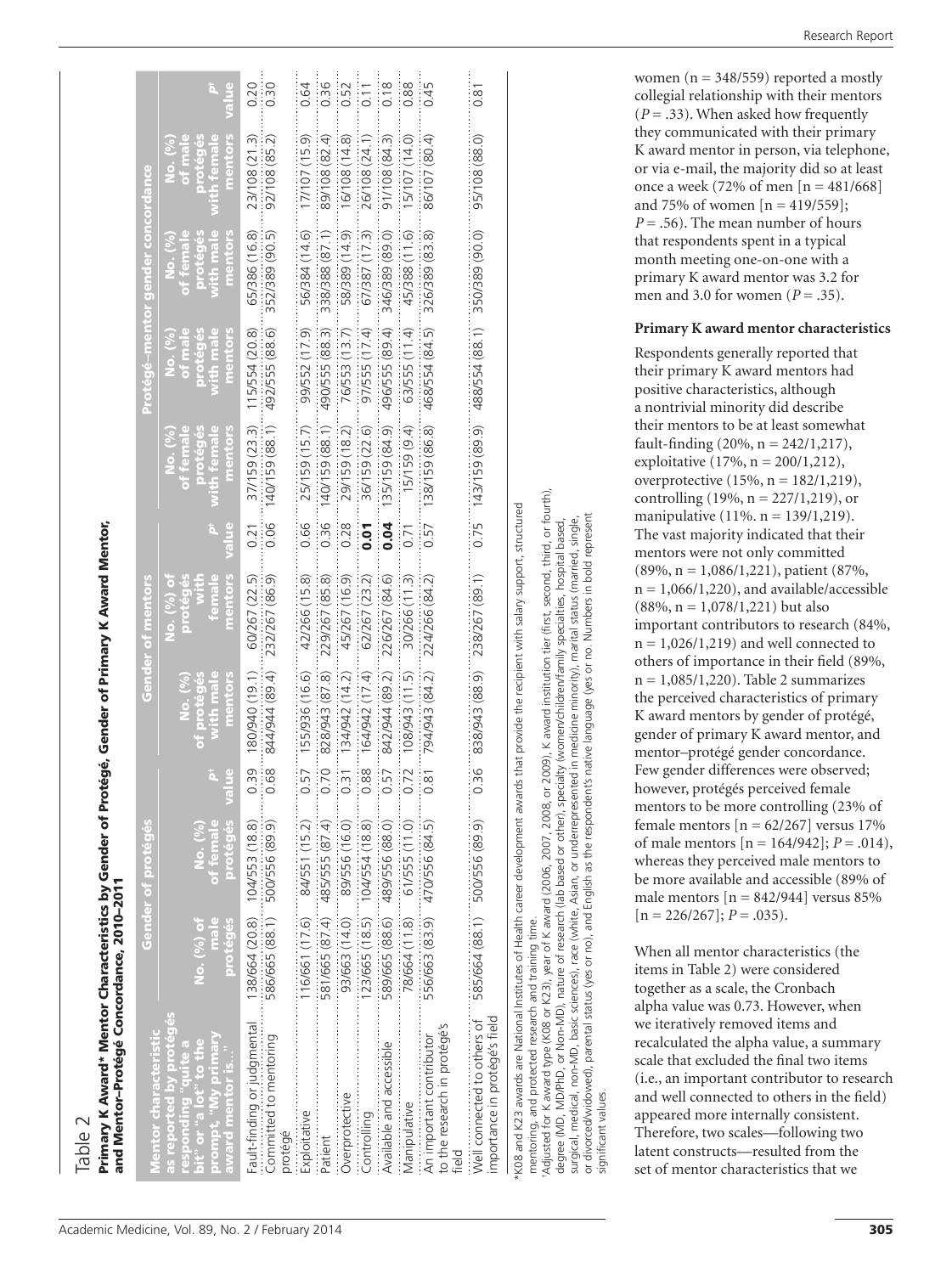Table 2

# Primary K Award\* Mentor Characteristics by Gender of Protégé, Gender of Primary K Award Mentor, Primary K Award\* Mentor Characteristics by Gender of Protégé, Gender of Primary K Award Mentor, and Mentor–Protégé Concordance, 2010–2011

| and Mentor-Protege Concordance, 2010-2011                                                                                                  |                                |                                                 |              |                                                       |                                                                 |              |                                                           |                                                        |                                                          |                                                        |              |
|--------------------------------------------------------------------------------------------------------------------------------------------|--------------------------------|-------------------------------------------------|--------------|-------------------------------------------------------|-----------------------------------------------------------------|--------------|-----------------------------------------------------------|--------------------------------------------------------|----------------------------------------------------------|--------------------------------------------------------|--------------|
| Mentor characteristi                                                                                                                       |                                | Gender of proteges                              |              |                                                       | Gender of mentors                                               |              |                                                           |                                                        | Protégé-mentor gender concordance                        |                                                        |              |
| as reported by protégés<br>prompt, "My primary<br>oit" or "a lot" to the<br>e aniq, fou puodsa.<br>award mentor is                         | No. (%) of<br>protégés<br>male | protégés<br>of female<br>No. (%)                | alue         | with male<br>mentors<br><u>of proteges</u><br>No. (%) | mentors<br><b>female</b><br>protégés<br>No. (%) of<br>with<br>3 | value        | mentors<br>ith female<br>of female<br>proteges<br>No. (%) | mentors<br>of male<br>vith male<br>proteges<br>No. (%) | with male<br>mentors<br>of female<br>proteges<br>No. (%) | mentors<br>th female<br>of male<br>aroteges<br>No. (%) | value<br>ä,  |
| Fault-finding or judgmental<br>Committed to mentoring<br>protégé                                                                           | 138/664 (20.8)                 | 104/553 (18.8)<br>586/665 (88.1) 500/556 (89.9) | 0.39<br>0.68 | 180/940 (19.1)<br>844/944 (89.4)                      | 60/267 (22.5)<br>232/267 (86.9)                                 | 0.06<br>0.21 | 140/159 (88.1)<br>37/159 (23.3)                           | 492/555 (88.6)<br>115/554 (20.8)                       | 352/389 (90.5)<br>65/386 (16.8)                          | 23/108 (21.3)<br>92/108 (85.2)                         | 0.20<br>0.30 |
| Exploitative                                                                                                                               | 116/661 (17.6)                 | 84/551 (15.2)                                   | 0.57         | 155/936 (16.6)                                        | 42/266 (15.8)                                                   | 0.66         | 25/159 (15.7)                                             | 99/552 (17.9)                                          | 56/384 (14.6)                                            | 17/107 (15.9)                                          | 0.64         |
| Patient<br>Patient                                                                                                                         |                                | 581/665 (87.4) 485/555 (87.4)                   | 0.70         | 828/943 (87.8)                                        | 229/267 (85.8)                                                  | 0.36         | 140/159 (88.1)                                            | 490/555 (88.3)                                         | 338/388 (87.1)                                           | 89/108 (82.4)                                          | 0.36         |
| Overprotective                                                                                                                             | 93/663 (14.0)                  | 89/556 (16.0)                                   | 0.31         | 134/942 (14.2)                                        | 45/267 (16.9)                                                   | 0.28         | 29/159 (18.2)                                             | 76/553 (13.7)                                          | 58/389 (14.9)                                            | 16/108 (14.8)                                          | 0.52         |
| Controlling                                                                                                                                | 123/665 (18.5)                 | 104/554 (18.8)                                  | 0.88         | 164/942 (17.4)                                        | 62/267 (23.2)                                                   | <b>D.O.</b>  | 36/159 (22.6)                                             | 97/555 (17.4)                                          | 67/387 (17.3)                                            | 26/108 (24.1)                                          | 0.11         |
| Available and accessible                                                                                                                   | 589/665 (88.6)                 | 489/556 (88.0)                                  | 0.57         | 842/944 (89.2)                                        | 226/267 (84.6)                                                  | 0.04         | 135/159 (84.9)                                            | 496/555 (89.4)                                         | 346/389 (89.0)                                           | 91/108 (84.3)                                          | 0.18         |
| Manipulative                                                                                                                               | 78/664 (11.8)                  | 61/555(11.0)                                    | 0.72         | $(11.5)$ $(11.5)$                                     | 30/266 (11.3)                                                   | 0.71         | 15/159 (9.4)                                              | 63/555 (11.4)                                          | 45/388 (11.6)                                            | 5/107 (14.0)                                           | 0.88         |
| to the research in protégé's<br>An important contributor                                                                                   | 556/663 (83.9)                 | 470/556 (84.5)                                  | 0.81         | 794/943 (84.2)                                        | 224/266 (84.2)                                                  | 0.57         | 138/159 (86.8)                                            | 468/554 (84.5)                                         | 326/389 (83.8)                                           | 86/107 (80.4)                                          | 0.45         |
| importance in protégé's field<br>Well connected to others of                                                                               |                                | 585/664 (88.1) 500/556 (89.9)                   | 0.36         | 838/943 (88.9)                                        | 238/267 (89.1)                                                  | 0.75         | 143/159 (89.9)                                            | 488/554 (88.1)                                         | 350/389 (90.0)                                           | 95/108 (88.0)                                          | 0.81         |
| *KO8 and K23 awards are National Institutes of Health career development awards that provide the recipient with salary support, structured |                                |                                                 |              |                                                       |                                                                 |              |                                                           |                                                        |                                                          |                                                        |              |

mentoring, and protected research and training time.

†Adjusted for K award type (K08 or K23), year of K award (2006, 2007, 2008, or 2009), K award institution tier (first, second, third, or fourth), or 2009), K award institution tier (first, second, third, or fourth), degree (MD, MD/PhD, or Non-MD), nature of research (lab based or other), specialty (women/children/family specialties, hospital based, or Non-MD), nature of research (lab based or other), specialty (women/children/family specialties, hospital based, 2007, 2008, mentoring, and protected research and training time.<br>Adjusted for K award type (K08 or K23), year of K award (2006, degree (MD, MD/PhD,

or divorced/widowed), parental status (yes or no), and English as the respondent's native language (yes or no. Numbers in bold represent surgical, medical, non-MD, basic sciences), race (white, Asian, or underrepresented in medicine minority), marital status (married, single, in bold represent marital status (married, single, Numbers no. language (yes or race (white, Asian, or underrepresented in medicine minority), the respondent's native English as basic sciences), non-MD, surgical, medical,

or divorced/widowed), parental status (yes or no), and<br>significant values. significant values.

exploitative  $(17\%, n = 200/1,212)$ , overprotective  $(15%, n = 182/1, 219)$ , controlling  $(19%, n = 227/1,219)$ , or manipulative (11%. n = 139/1,219). The vast majority indicated that their mentors were not only committed (89%, n = 1,086/1,221), patient (87%,  $n = 1,066/1,220$ , and available/accessible  $(88\%, n = 1,078/1,221)$  but also important contributors to research (84%,  $n = 1,026/1,219$  and well connected to others of importance in their field (89%,  $n = 1,085/1,220$ . Table 2 summarizes the perceived characteristics of primary K award mentors by gender of protégé, gender of primary K award mentor, and mentor–protégé gender concordance. Few gender differences were observed; however, protégés perceived female mentors to be more controlling (23% of female mentors  $[n = 62/267]$  versus 17% of male mentors  $[n = 164/942]$ ;  $P = .014$ ), whereas they perceived male mentors to be more available and accessible (89% of male mentors  $[n = 842/944]$  versus 85%  $[n = 226/267]; P = .035$ .

When all mentor characteristics (the items in Table 2) were considered together as a scale, the Cronbach alpha value was 0.73. However, when we iteratively removed items and recalculated the alpha value, a summary scale that excluded the final two items (i.e., an important contributor to research and well connected to others in the field) appeared more internally consistent. Therefore, two scales—following two latent constructs—resulted from the set of mentor characteristics that we

women ( $n = 348/559$ ) reported a mostly collegial relationship with their mentors  $(P = .33)$ . When asked how frequently they communicated with their primary K award mentor in person, via telephone, or via e-mail, the majority did so at least once a week (72% of men  $[n = 481/668]$ and 75% of women  $[n = 419/559]$ ;  $P = .56$ ). The mean number of hours that respondents spent in a typical month meeting one-on-one with a primary K award mentor was 3.2 for men and 3.0 for women ( $P = .35$ ).

# **Primary K award mentor characteristics**

Respondents generally reported that their primary K award mentors had positive characteristics, although a nontrivial minority did describe their mentors to be at least somewhat fault-finding  $(20\%, n = 242/1, 217)$ ,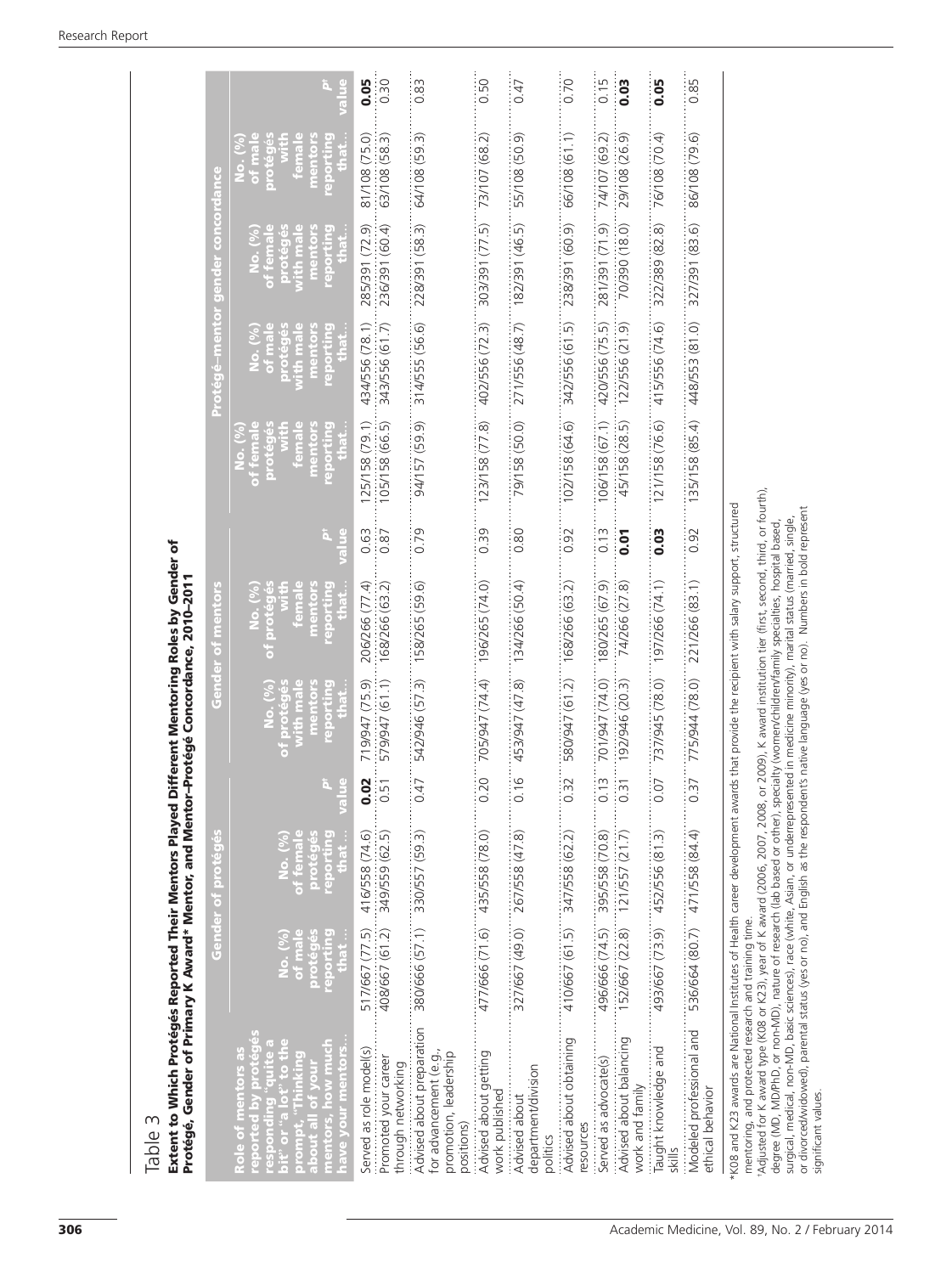| Extent to Which Protégés Reported Their Mentors Played Different Mentoring Roles by Genc<br>Protégé, Gender of Primary K Award* Mentor, and Mentor–Protégé Concordance, 2010–2011<br>S<br>Table : |                               |                                                  |                            |                                                                                                                 | Different Mentoring Roles by Gender of                           |                      |                                                                                 |                                                                    |                                                                       |                                                                 |                   |
|---------------------------------------------------------------------------------------------------------------------------------------------------------------------------------------------------|-------------------------------|--------------------------------------------------|----------------------------|-----------------------------------------------------------------------------------------------------------------|------------------------------------------------------------------|----------------------|---------------------------------------------------------------------------------|--------------------------------------------------------------------|-----------------------------------------------------------------------|-----------------------------------------------------------------|-------------------|
|                                                                                                                                                                                                   |                               | Gender of proteges                               |                            |                                                                                                                 | Gender of mentors                                                |                      |                                                                                 | <b>Protégé-mentor gender concordance</b>                           |                                                                       |                                                                 |                   |
| mentors, how much<br>t" or "a lot" to th<br>Role of mentors as<br>reported by protég<br>about all of you<br>have your me<br>mond<br>ic.                                                           | eporti<br>of m<br>protég<br>ė | of fem<br><b>PPOIT</b><br>proté<br>$\frac{1}{2}$ | ä,<br>g                    | reporting<br>mentors<br>male<br>ၟ<br>$\overline{\phantom{0}}$<br>$\overline{9}$<br>f proté<br>with n<br>i<br>İō | reporting<br>of protégés<br>of protégés<br>mentors<br>femal<br>E | ħ<br>alue            | $\frac{8}{6}$<br>reporting<br>of femal<br>femal<br>ment<br>$rac{1}{2}$<br>prote | mentors<br>reporting<br>protégés<br>with male<br>ve.<br>No.<br>No. | mentors<br>reporting<br>protégés<br>with male<br>No. (%)<br>of female | reporting<br>of mal<br>mentor<br>femal<br>protég<br>$\geq$<br>ģ | l⊔e               |
| Served as role model(s)                                                                                                                                                                           | 517/667 (77.5)                | 416/558 (74.6)                                   | $\overline{0}$<br>ö        | 719/947 (75.9)                                                                                                  | 206/266 (77.4)                                                   | 0.63                 | 125/158 (79.1)                                                                  | 434/556 (78.1)                                                     | 285/391 (72.9)                                                        | 81/108 (75.0)                                                   | 0.05              |
| Promoted your career<br>through networking                                                                                                                                                        | 408/667 (61.2)                | 349/559 (62.5)                                   | $\overline{5}$<br>∶⊂       | 579/947 (61.1)                                                                                                  | 168/266 (63.2)                                                   | 0.87                 | 105/158 (66.5)                                                                  | 343/556 (61.7)                                                     | 236/391 (60.4)                                                        | 63/108 (58.3)                                                   | 0.30              |
| Advised about preparation<br>for advancement (e.g.,<br>promotion, leadership<br>positions)                                                                                                        | 380/666 (57.1)                | 330/557 (59.3)                                   | $\frac{4}{7}$<br>$\circ$   | 542/946 (57.3)                                                                                                  | 158/265 (59.6)                                                   | 0.79                 | 94/157 (59.9)                                                                   | 314/555 (56.6)                                                     | 228/391 (58.3)                                                        | 64/108 (59.3)                                                   | 0.83              |
| Advised about getting<br>work published                                                                                                                                                           | 477/666 (71.6)                | 435/558 (78.0)                                   | .20<br>$\circ$             | 705/947 (74.4)                                                                                                  | 196/265 (74.0)                                                   | 0.39                 | 123/158 (77.8)                                                                  | 402/556 (72.3)                                                     | 303/391 (77.5)                                                        | 73/107 (68.2)                                                   | 0.50              |
| department/division<br>Advised about<br>politics                                                                                                                                                  | 327/667 (49.0)                | 267/558 (47.8)                                   | 0.16                       | 453/947 (47.8)                                                                                                  | 134/266 (50.4)                                                   | 0.80                 | 79/158 (50.0)                                                                   | 271/556 (48.7)                                                     | 182/391 (46.5)                                                        | 55/108 (50.9)                                                   | 0.47              |
| Advised about obtaining<br>resources                                                                                                                                                              |                               | 410/667 (61.5) 347/558 (62.2)                    | $\frac{3}{2}$<br>$\circ$   | 580/947 (61.2)                                                                                                  | 168/266 (63.2)                                                   | 0.92                 | 102/158 (64.6)                                                                  | 342/556 (61.5)                                                     | 238/391 (60.9)                                                        | 66/108(61.1)                                                    | 0.70              |
| Served as advocate(s)                                                                                                                                                                             | 496/666 (74.5)                | 395/558 (70.8)                                   | 0.13                       | 701/947 (74.0)                                                                                                  | 180/265 (67.9)                                                   | 0.13                 | 106/158(67.1)                                                                   | 420/556 (75.5)                                                     | (6.1/2)1(231)                                                         | 74/107 (69.2)                                                   | $\frac{15}{0.15}$ |
| Advised about balancing<br>work and family                                                                                                                                                        | 152/667 (22.8)                | (21/557(21.7))                                   | 0.31                       | 192/946 (20.3)                                                                                                  | 74/266 (27.8)                                                    | 0.01                 | 45/158 (28.5)                                                                   | 122/556 (21.9)                                                     | 70/390 (18.0)                                                         | 29/108 (26.9)                                                   | 0.03              |
| Taught knowledge and<br>skills                                                                                                                                                                    | 493/667 (73.9)                | 452/556 (81.3)                                   | CO.<br>$\circ$             | 737/945 (78.0)                                                                                                  | 197/266 (74.1)                                                   | 0.03                 | 121/158 (76.6)                                                                  | 415/556 (74.6)                                                     | 322/389 (82.8)                                                        | 76/108 (70.4)                                                   | 0.05              |
| Modeled professional and<br>ethical behavior                                                                                                                                                      | 536/664 (80.7)                | 471/558 (84.4)                                   | $\overline{37}$<br>$\circ$ | 775/944 (78.0)                                                                                                  | 221/266 (83.1)                                                   | $\overline{92}$<br>ö | 135/158 (85.4)                                                                  | 448/553 (81.0)                                                     | 327/391 (83.6)                                                        | 86/108 (79.6)                                                   | 0.85              |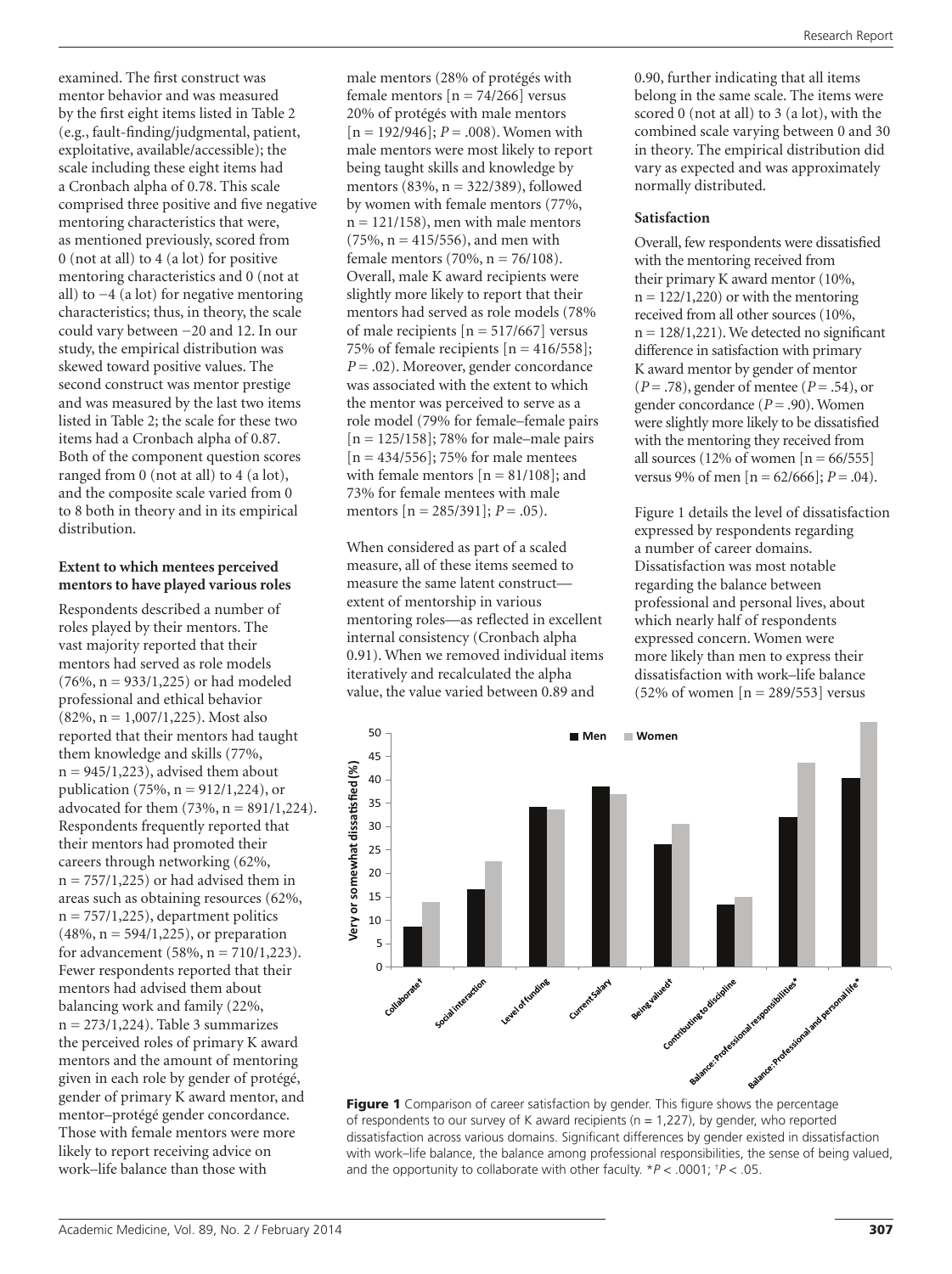examined. The first construct was mentor behavior and was measured by the first eight items listed in Table 2 (e.g., fault-finding/judgmental, patient, exploitative, available/accessible); the scale including these eight items had a Cronbach alpha of 0.78. This scale comprised three positive and five negative mentoring characteristics that were, as mentioned previously, scored from 0 (not at all) to 4 (a lot) for positive mentoring characteristics and 0 (not at all) to −4 (a lot) for negative mentoring characteristics; thus, in theory, the scale could vary between −20 and 12. In our study, the empirical distribution was skewed toward positive values. The second construct was mentor prestige and was measured by the last two items listed in Table 2; the scale for these two items had a Cronbach alpha of 0.87. Both of the component question scores ranged from 0 (not at all) to 4 (a lot), and the composite scale varied from 0 to 8 both in theory and in its empirical distribution.

## **Extent to which mentees perceived mentors to have played various roles**

Respondents described a number of roles played by their mentors. The vast majority reported that their mentors had served as role models  $(76\%, n = 933/1,225)$  or had modeled professional and ethical behavior (82%, n = 1,007/1,225). Most also reported that their mentors had taught them knowledge and skills (77%,  $n = 945/1,223$ , advised them about publication (75%,  $n = 912/1,224$ ), or advocated for them  $(73%, n = 891/1,224)$ . Respondents frequently reported that their mentors had promoted their careers through networking (62%,  $n = 757/1,225$  or had advised them in areas such as obtaining resources (62%,  $n = 757/1,225$ , department politics  $(48\%, n = 594/1, 225)$ , or preparation for advancement (58%, n = 710/1,223). Fewer respondents reported that their mentors had advised them about balancing work and family (22%,  $n = 273/1,224$ . Table 3 summarizes the perceived roles of primary K award mentors and the amount of mentoring given in each role by gender of protégé, gender of primary K award mentor, and mentor–protégé gender concordance. Those with female mentors were more likely to report receiving advice on work–life balance than those with

male mentors (28% of protégés with female mentors  $[n = 74/266]$  versus 20% of protégés with male mentors  $[n = 192/946]$ ;  $P = .008$ ). Women with male mentors were most likely to report being taught skills and knowledge by mentors (83%, n = 322/389), followed by women with female mentors (77%,  $n = 121/158$ , men with male mentors  $(75\%, n = 415/556)$ , and men with female mentors  $(70\%, n = 76/108)$ . Overall, male K award recipients were slightly more likely to report that their mentors had served as role models (78% of male recipients  $[n = 517/667]$  versus 75% of female recipients  $[n = 416/558]$ ; *P* = .02). Moreover, gender concordance was associated with the extent to which the mentor was perceived to serve as a role model (79% for female–female pairs [n = 125/158]; 78% for male–male pairs  $[n = 434/556]$ ; 75% for male mentees with female mentors  $[n = 81/108]$ ; and 73% for female mentees with male mentors [n = 285/391]; *P* = .05).

When considered as part of a scaled measure, all of these items seemed to measure the same latent construct extent of mentorship in various mentoring roles—as reflected in excellent internal consistency (Cronbach alpha 0.91). When we removed individual items iteratively and recalculated the alpha value, the value varied between 0.89 and

0.90, further indicating that all items belong in the same scale. The items were scored 0 (not at all) to 3 (a lot), with the combined scale varying between 0 and 30 in theory. The empirical distribution did vary as expected and was approximately normally distributed.

# **Satisfaction**

Overall, few respondents were dissatisfied with the mentoring received from their primary K award mentor (10%,  $n = 122/1,220$  or with the mentoring received from all other sources (10%,  $n = 128/1,221$ ). We detected no significant difference in satisfaction with primary K award mentor by gender of mentor (*P* = .78), gender of mentee (*P* = .54), or gender concordance (*P* = .90). Women were slightly more likely to be dissatisfied with the mentoring they received from all sources (12% of women  $[n = 66/555]$ ) versus 9% of men  $[n = 62/666]$ ;  $P = .04$ ).

Figure 1 details the level of dissatisfaction expressed by respondents regarding a number of career domains. Dissatisfaction was most notable regarding the balance between professional and personal lives, about which nearly half of respondents expressed concern. Women were more likely than men to express their dissatisfaction with work–life balance  $(52\% \text{ of women } [n = 289/553] \text{ versus}$ 



of respondents to our survey of K award recipients ( $n = 1,227$ ), by gender, who reported dissatisfaction across various domains. Significant differences by gender existed in dissatisfaction with work–life balance, the balance among professional responsibilities, the sense of being valued, and the opportunity to collaborate with other faculty. \**P* < .0001; † *P* < .05.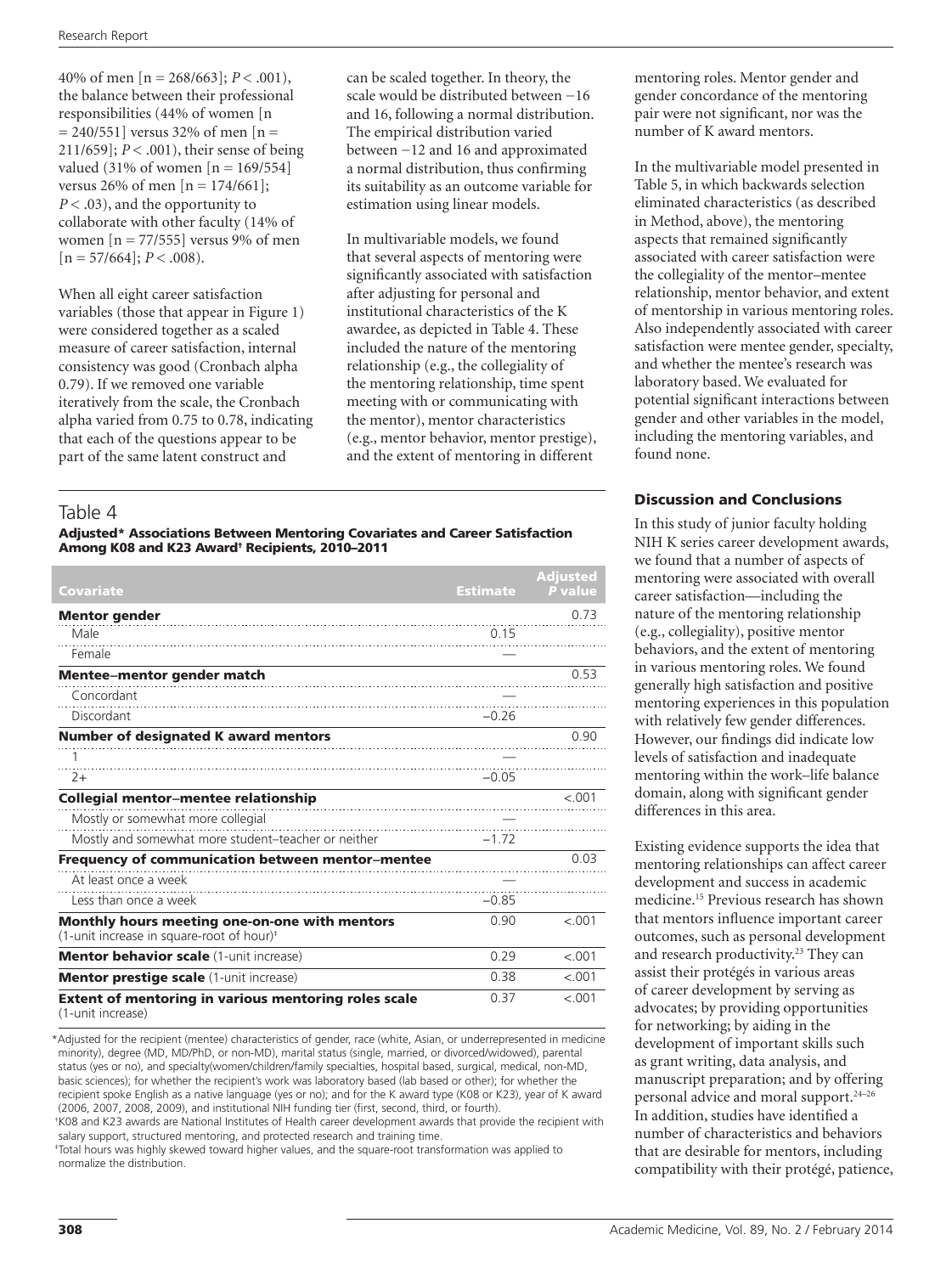40% of men [n = 268/663]; *P* < .001), the balance between their professional responsibilities (44% of women [n  $= 240/551$ ] versus 32% of men [n = 211/659]; *P* < .001), their sense of being valued (31% of women  $[n = 169/554]$ versus 26% of men  $[n = 174/661]$ ; *P* < .03), and the opportunity to collaborate with other faculty (14% of women  $[n = 77/555]$  versus 9% of men  $[n = 57/664]$ ;  $P < .008$ ).

When all eight career satisfaction variables (those that appear in Figure 1) were considered together as a scaled measure of career satisfaction, internal consistency was good (Cronbach alpha 0.79). If we removed one variable iteratively from the scale, the Cronbach alpha varied from 0.75 to 0.78, indicating that each of the questions appear to be part of the same latent construct and

can be scaled together. In theory, the scale would be distributed between −16 and 16, following a normal distribution. The empirical distribution varied between −12 and 16 and approximated a normal distribution, thus confirming its suitability as an outcome variable for estimation using linear models.

In multivariable models, we found that several aspects of mentoring were significantly associated with satisfaction after adjusting for personal and institutional characteristics of the K awardee, as depicted in Table 4. These included the nature of the mentoring relationship (e.g., the collegiality of the mentoring relationship, time spent meeting with or communicating with the mentor), mentor characteristics (e.g., mentor behavior, mentor prestige), and the extent of mentoring in different

# Table 4

### Adjusted\* Associations Between Mentoring Covariates and Career Satisfaction Among K08 and K23 Award† Recipients, 2010–2011

|                                                                                                        |                 | <b>Adiusted</b> |
|--------------------------------------------------------------------------------------------------------|-----------------|-----------------|
| Covariate                                                                                              | <b>Estimate</b> | P value         |
| <b>Mentor</b> gender                                                                                   |                 | 0.73            |
| Male                                                                                                   | 0.15            |                 |
| Female                                                                                                 |                 |                 |
| <b>Mentee-mentor gender match</b>                                                                      |                 | 0.53            |
| Concordant                                                                                             |                 |                 |
| Discordant                                                                                             | $-0.26$         |                 |
| <b>Number of designated K award mentors</b>                                                            |                 | 0.90            |
|                                                                                                        |                 |                 |
| $2+$                                                                                                   | $-0.05$         |                 |
| Collegial mentor-mentee relationship                                                                   |                 | < .001          |
| Mostly or somewhat more collegial                                                                      |                 |                 |
| Mostly and somewhat more student-teacher or neither                                                    | $-1, 72$        |                 |
| Frequency of communication between mentor-mentee                                                       |                 | 0.03            |
| At least once a week                                                                                   |                 |                 |
| Less than once a week                                                                                  | $-0.85$         |                 |
| Monthly hours meeting one-on-one with mentors<br>(1-unit increase in square-root of hour) <sup>#</sup> | 0.90            | < 0.01          |
| <b>Mentor behavior scale (1-unit increase)</b>                                                         | 0.29            | < .001          |
| <b>Mentor prestige scale (1-unit increase)</b>                                                         | 0.38            | $-.001$         |
| <b>Extent of mentoring in various mentoring roles scale</b><br>(1-unit increase)                       | 0.37            | < 0.01          |

\*Adjusted for the recipient (mentee) characteristics of gender, race (white, Asian, or underrepresented in medicine minority), degree (MD, MD/PhD, or non-MD), marital status (single, married, or divorced/widowed), parental status (yes or no), and specialty(women/children/family specialties, hospital based, surgical, medical, non-MD, basic sciences); for whether the recipient's work was laboratory based (lab based or other); for whether the recipient spoke English as a native language (yes or no); and for the K award type (K08 or K23), year of K award (2006, 2007, 2008, 2009), and institutional NIH funding tier (first, second, third, or fourth).

† K08 and K23 awards are National Institutes of Health career development awards that provide the recipient with salary support, structured mentoring, and protected research and training time.

‡ Total hours was highly skewed toward higher values, and the square-root transformation was applied to normalize the distribution.

mentoring roles. Mentor gender and gender concordance of the mentoring pair were not significant, nor was the number of K award mentors.

In the multivariable model presented in Table 5, in which backwards selection eliminated characteristics (as described in Method, above), the mentoring aspects that remained significantly associated with career satisfaction were the collegiality of the mentor–mentee relationship, mentor behavior, and extent of mentorship in various mentoring roles. Also independently associated with career satisfaction were mentee gender, specialty, and whether the mentee's research was laboratory based. We evaluated for potential significant interactions between gender and other variables in the model, including the mentoring variables, and found none.

# Discussion and Conclusions

In this study of junior faculty holding NIH K series career development awards, we found that a number of aspects of mentoring were associated with overall career satisfaction—including the nature of the mentoring relationship (e.g., collegiality), positive mentor behaviors, and the extent of mentoring in various mentoring roles. We found generally high satisfaction and positive mentoring experiences in this population with relatively few gender differences. However, our findings did indicate low levels of satisfaction and inadequate mentoring within the work–life balance domain, along with significant gender differences in this area.

Existing evidence supports the idea that mentoring relationships can affect career development and success in academic medicine.15 Previous research has shown that mentors influence important career outcomes, such as personal development and research productivity.<sup>23</sup> They can assist their protégés in various areas of career development by serving as advocates; by providing opportunities for networking; by aiding in the development of important skills such as grant writing, data analysis, and manuscript preparation; and by offering personal advice and moral support.<sup>24-26</sup> In addition, studies have identified a number of characteristics and behaviors that are desirable for mentors, including compatibility with their protégé, patience,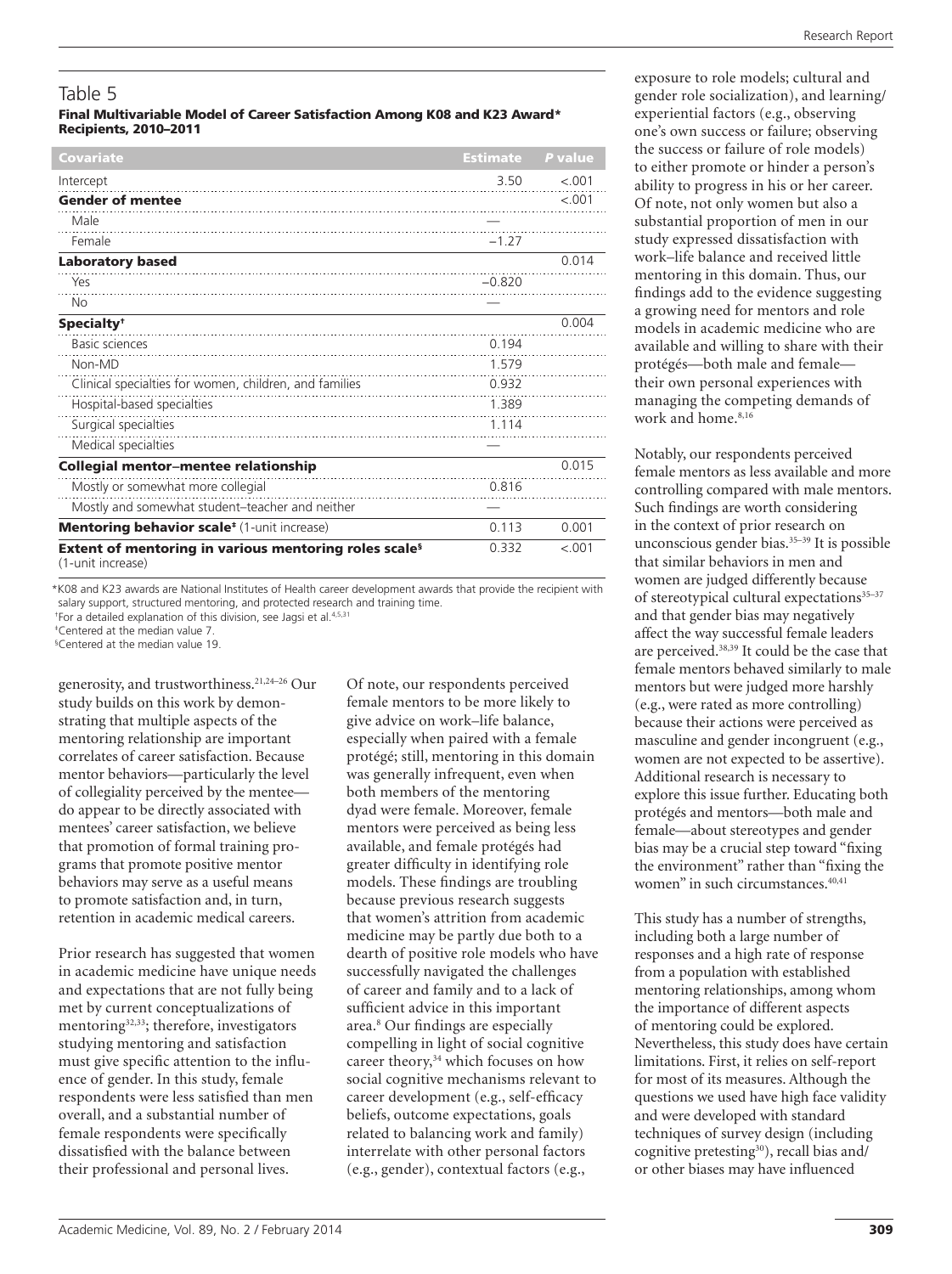# Table 5

### Final Multivariable Model of Career Satisfaction Among K08 and K23 Award\* Recipients, 2010–2011

| Covariate                                                                              | <b>Estimate</b> | P value |
|----------------------------------------------------------------------------------------|-----------------|---------|
| Intercept                                                                              | 3.50            | $-.001$ |
| <b>Gender of mentee</b>                                                                |                 | $-.001$ |
| Male                                                                                   |                 |         |
| Female                                                                                 | $-1.27$         |         |
| <b>Laboratory based</b>                                                                |                 | 0.014   |
| Yes                                                                                    | $-0.820$        |         |
| No                                                                                     |                 |         |
| Specialty <sup>+</sup>                                                                 |                 | 0.004   |
| <b>Basic sciences</b>                                                                  | 0.194           |         |
| Non-MD                                                                                 | 1.579           |         |
| Clinical specialties for women, children, and families                                 | 0.932           |         |
| Hospital-based specialties                                                             | 1.389           |         |
| Surgical specialties                                                                   | 1.114           |         |
| Medical specialties                                                                    |                 |         |
| Collegial mentor-mentee relationship                                                   |                 | 0.015   |
| Mostly or somewhat more collegial                                                      | 0.816           |         |
| Mostly and somewhat student-teacher and neither                                        |                 |         |
| Mentoring behavior scale <sup>*</sup> (1-unit increase)                                | 0.113           | 0.001   |
| Extent of mentoring in various mentoring roles scale <sup>s</sup><br>(1-unit increase) | 0.332           | < 0.01  |

\*K08 and K23 awards are National Institutes of Health career development awards that provide the recipient with salary support, structured mentoring, and protected research and training time.

<sup>†</sup>For a detailed explanation of this division, see Jagsi et al.<sup>4,5,31</sup>

‡ Centered at the median value 7. § Centered at the median value 19.

generosity, and trustworthiness.21,24–26 Our study builds on this work by demonstrating that multiple aspects of the mentoring relationship are important correlates of career satisfaction. Because mentor behaviors—particularly the level of collegiality perceived by the mentee do appear to be directly associated with mentees' career satisfaction, we believe that promotion of formal training programs that promote positive mentor behaviors may serve as a useful means to promote satisfaction and, in turn, retention in academic medical careers.

Prior research has suggested that women in academic medicine have unique needs and expectations that are not fully being met by current conceptualizations of mentoring32,33; therefore, investigators studying mentoring and satisfaction must give specific attention to the influence of gender. In this study, female respondents were less satisfied than men overall, and a substantial number of female respondents were specifically dissatisfied with the balance between their professional and personal lives.

Of note, our respondents perceived female mentors to be more likely to give advice on work–life balance, especially when paired with a female protégé; still, mentoring in this domain was generally infrequent, even when both members of the mentoring dyad were female. Moreover, female mentors were perceived as being less available, and female protégés had greater difficulty in identifying role models. These findings are troubling because previous research suggests that women's attrition from academic medicine may be partly due both to a dearth of positive role models who have successfully navigated the challenges of career and family and to a lack of sufficient advice in this important area.8 Our findings are especially compelling in light of social cognitive career theory,<sup>34</sup> which focuses on how social cognitive mechanisms relevant to career development (e.g., self-efficacy beliefs, outcome expectations, goals related to balancing work and family) interrelate with other personal factors (e.g., gender), contextual factors (e.g.,

exposure to role models; cultural and gender role socialization), and learning/ experiential factors (e.g., observing one's own success or failure; observing the success or failure of role models) to either promote or hinder a person's ability to progress in his or her career. Of note, not only women but also a substantial proportion of men in our study expressed dissatisfaction with work–life balance and received little mentoring in this domain. Thus, our findings add to the evidence suggesting a growing need for mentors and role models in academic medicine who are available and willing to share with their protégés—both male and female their own personal experiences with managing the competing demands of work and home.<sup>8,16</sup>

Notably, our respondents perceived female mentors as less available and more controlling compared with male mentors. Such findings are worth considering in the context of prior research on unconscious gender bias.35–39 It is possible that similar behaviors in men and women are judged differently because of stereotypical cultural expectations $35-37$ and that gender bias may negatively affect the way successful female leaders are perceived.38,39 It could be the case that female mentors behaved similarly to male mentors but were judged more harshly (e.g., were rated as more controlling) because their actions were perceived as masculine and gender incongruent (e.g., women are not expected to be assertive). Additional research is necessary to explore this issue further. Educating both protégés and mentors—both male and female—about stereotypes and gender bias may be a crucial step toward "fixing the environment" rather than "fixing the women" in such circumstances.<sup>40,41</sup>

This study has a number of strengths, including both a large number of responses and a high rate of response from a population with established mentoring relationships, among whom the importance of different aspects of mentoring could be explored. Nevertheless, this study does have certain limitations. First, it relies on self-report for most of its measures. Although the questions we used have high face validity and were developed with standard techniques of survey design (including cognitive pretesting $30$ , recall bias and/ or other biases may have influenced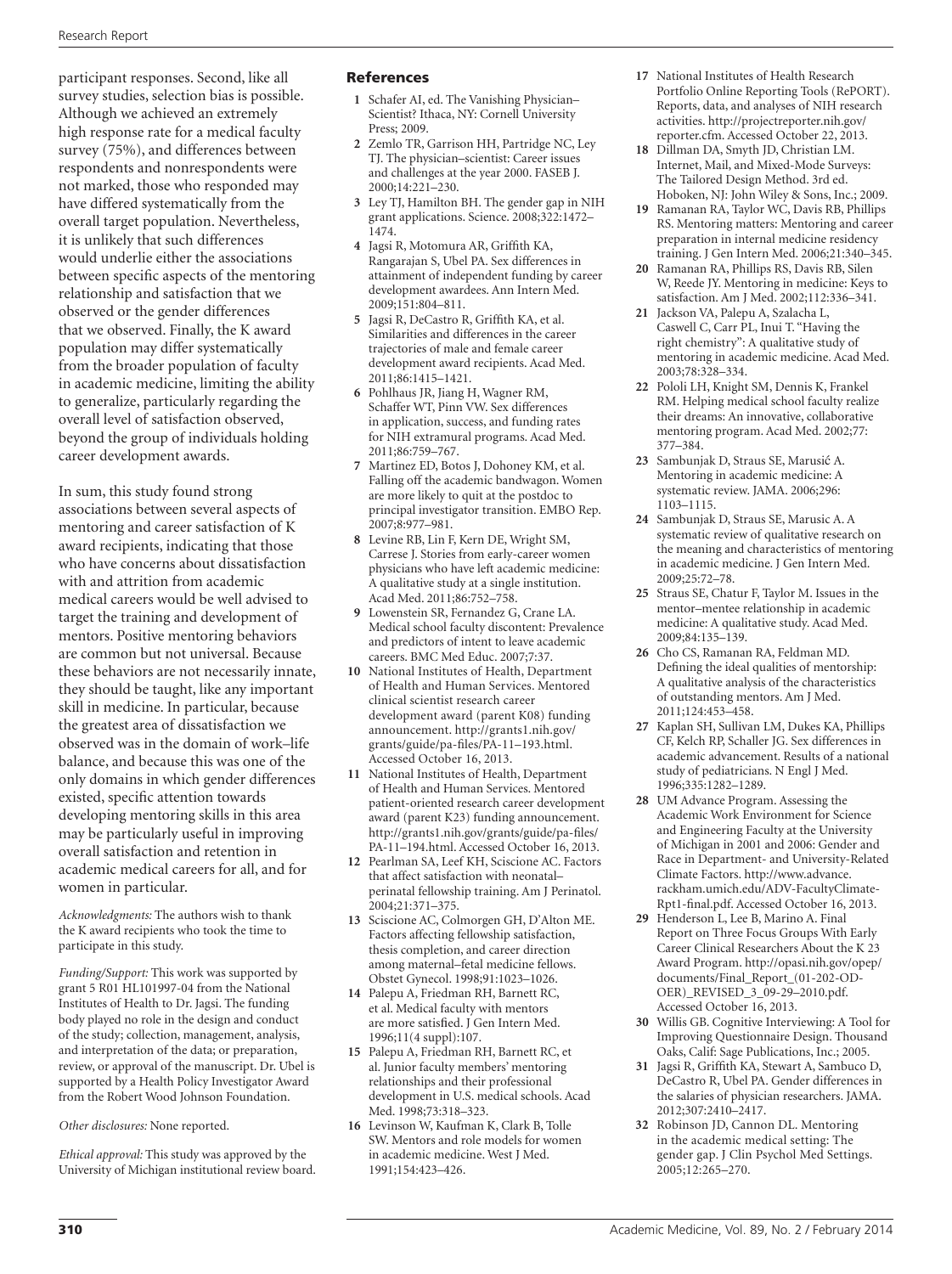participant responses. Second, like all survey studies, selection bias is possible. Although we achieved an extremely high response rate for a medical faculty survey (75%), and differences between respondents and nonrespondents were not marked, those who responded may have differed systematically from the overall target population. Nevertheless, it is unlikely that such differences would underlie either the associations between specific aspects of the mentoring relationship and satisfaction that we observed or the gender differences that we observed. Finally, the K award population may differ systematically from the broader population of faculty in academic medicine, limiting the ability to generalize, particularly regarding the overall level of satisfaction observed, beyond the group of individuals holding career development awards.

In sum, this study found strong associations between several aspects of mentoring and career satisfaction of K award recipients, indicating that those who have concerns about dissatisfaction with and attrition from academic medical careers would be well advised to target the training and development of mentors. Positive mentoring behaviors are common but not universal. Because these behaviors are not necessarily innate, they should be taught, like any important skill in medicine. In particular, because the greatest area of dissatisfaction we observed was in the domain of work–life balance, and because this was one of the only domains in which gender differences existed, specific attention towards developing mentoring skills in this area may be particularly useful in improving overall satisfaction and retention in academic medical careers for all, and for women in particular.

*Acknowledgments:* The authors wish to thank the K award recipients who took the time to participate in this study.

*Funding/Support:* This work was supported by grant 5 R01 HL101997-04 from the National Institutes of Health to Dr. Jagsi. The funding body played no role in the design and conduct of the study; collection, management, analysis, and interpretation of the data; or preparation, review, or approval of the manuscript. Dr. Ubel is supported by a Health Policy Investigator Award from the Robert Wood Johnson Foundation.

### *Other disclosures:* None reported.

*Ethical approval:* This study was approved by the University of Michigan institutional review board.

### References

- **1** Schafer AI, ed. The Vanishing Physician– Scientist? Ithaca, NY: Cornell University Press; 2009.
- **2** Zemlo TR, Garrison HH, Partridge NC, Ley TJ. The physician–scientist: Career issues and challenges at the year 2000. FASEB J. 2000;14:221–230.
- **3** Ley TJ, Hamilton BH. The gender gap in NIH grant applications. Science. 2008;322:1472– 1474.
- **4** Jagsi R, Motomura AR, Griffith KA, Rangarajan S, Ubel PA. Sex differences in attainment of independent funding by career development awardees. Ann Intern Med. 2009;151:804–811.
- **5** Jagsi R, DeCastro R, Griffith KA, et al. Similarities and differences in the career trajectories of male and female career development award recipients. Acad Med. 2011;86:1415–1421.
- **6** Pohlhaus JR, Jiang H, Wagner RM, Schaffer WT, Pinn VW. Sex differences in application, success, and funding rates for NIH extramural programs. Acad Med. 2011;86:759–767.
- **7** Martinez ED, Botos J, Dohoney KM, et al. Falling off the academic bandwagon. Women are more likely to quit at the postdoc to principal investigator transition. EMBO Rep. 2007;8:977–981.
- **8** Levine RB, Lin F, Kern DE, Wright SM, Carrese J. Stories from early-career women physicians who have left academic medicine: A qualitative study at a single institution. Acad Med. 2011;86:752–758.
- **9** Lowenstein SR, Fernandez G, Crane LA. Medical school faculty discontent: Prevalence and predictors of intent to leave academic careers. BMC Med Educ. 2007;7:37.
- **10** National Institutes of Health, Department of Health and Human Services. Mentored clinical scientist research career development award (parent K08) funding announcement. [http://grants1.nih.gov/](http://grants1.nih.gov/grants/guide/pa-files/PA-11 � 193.html) [grants/guide/pa-files/PA-11–193.html](http://grants1.nih.gov/grants/guide/pa-files/PA-11 � 193.html). Accessed October 16, 2013.
- **11** National Institutes of Health, Department of Health and Human Services. Mentored patient-oriented research career development award (parent K23) funding announcement. [http://grants1.nih.gov/grants/guide/pa-files/](http://grants1.nih.gov/grants/guide/pa-files/PA-11 � 194.html) [PA-11–194.html.](http://grants1.nih.gov/grants/guide/pa-files/PA-11 � 194.html) Accessed October 16, 2013.
- **12** Pearlman SA, Leef KH, Sciscione AC. Factors that affect satisfaction with neonatal– perinatal fellowship training. Am J Perinatol. 2004;21:371–375.
- **13** Sciscione AC, Colmorgen GH, D'Alton ME. Factors affecting fellowship satisfaction, thesis completion, and career direction among maternal–fetal medicine fellows. Obstet Gynecol. 1998;91:1023–1026.
- **14** Palepu A, Friedman RH, Barnett RC, et al. Medical faculty with mentors are more satisfied. J Gen Intern Med. 1996;11(4 suppl):107.
- **15** Palepu A, Friedman RH, Barnett RC, et al. Junior faculty members' mentoring relationships and their professional development in U.S. medical schools. Acad Med. 1998;73:318–323.
- **16** Levinson W, Kaufman K, Clark B, Tolle SW. Mentors and role models for women in academic medicine. West J Med. 1991;154:423–426.
- **17** National Institutes of Health Research Portfolio Online Reporting Tools (RePORT). Reports, data, and analyses of NIH research activities. [http://projectreporter.nih.gov/](http://projectreporter.nih.gov/reporter.cfm) [reporter.cfm.](http://projectreporter.nih.gov/reporter.cfm) Accessed October 22, 2013.
- **18** Dillman DA, Smyth JD, Christian LM. Internet, Mail, and Mixed-Mode Surveys: The Tailored Design Method. 3rd ed. Hoboken, NJ: John Wiley & Sons, Inc.; 2009.
- **19** Ramanan RA, Taylor WC, Davis RB, Phillips RS. Mentoring matters: Mentoring and career preparation in internal medicine residency training. J Gen Intern Med. 2006;21:340–345.
- **20** Ramanan RA, Phillips RS, Davis RB, Silen W, Reede JY. Mentoring in medicine: Keys to satisfaction. Am J Med. 2002;112:336–341.
- **21** Jackson VA, Palepu A, Szalacha L, Caswell C, Carr PL, Inui T. "Having the right chemistry": A qualitative study of mentoring in academic medicine. Acad Med. 2003;78:328–334.
- **22** Pololi LH, Knight SM, Dennis K, Frankel RM. Helping medical school faculty realize their dreams: An innovative, collaborative mentoring program. Acad Med. 2002;77: 377–384.
- **23** Sambunjak D, Straus SE, Marusić A. Mentoring in academic medicine: A systematic review. JAMA. 2006;296: 1103–1115.
- **24** Sambunjak D, Straus SE, Marusic A. A systematic review of qualitative research on the meaning and characteristics of mentoring in academic medicine. J Gen Intern Med. 2009;25:72–78.
- **25** Straus SE, Chatur F, Taylor M. Issues in the mentor–mentee relationship in academic medicine: A qualitative study. Acad Med. 2009;84:135–139.
- **26** Cho CS, Ramanan RA, Feldman MD. Defining the ideal qualities of mentorship: A qualitative analysis of the characteristics of outstanding mentors. Am J Med. 2011;124:453–458.
- **27** Kaplan SH, Sullivan LM, Dukes KA, Phillips CF, Kelch RP, Schaller JG. Sex differences in academic advancement. Results of a national study of pediatricians. N Engl J Med. 1996;335:1282–1289.
- **28** UM Advance Program. Assessing the Academic Work Environment for Science and Engineering Faculty at the University of Michigan in 2001 and 2006: Gender and Race in Department- and University-Related Climate Factors. [http://www.advance.](http://www.advance.rackham.umich.edu/ADV-FacultyClimate-Rpt1-final.pdf) [rackham.umich.edu/ADV-FacultyClimate-](http://www.advance.rackham.umich.edu/ADV-FacultyClimate-Rpt1-final.pdf)[Rpt1-final.pdf](http://www.advance.rackham.umich.edu/ADV-FacultyClimate-Rpt1-final.pdf). Accessed October 16, 2013.
- **29** Henderson L, Lee B, Marino A. Final Report on Three Focus Groups With Early Career Clinical Researchers About the K 23 Award Program. [http://opasi.nih.gov/opep/](http://opasi.nih.gov/opep/documents/Final_Report_(01-202-OD-OER)_REVISED_3_09-29 � 2010.pdf) [documents/Final\\_Report\\_\(01-202-OD-](http://opasi.nih.gov/opep/documents/Final_Report_(01-202-OD-OER)_REVISED_3_09-29 � 2010.pdf)[OER\)\\_REVISED\\_3\\_09-29–2010.pdf](http://opasi.nih.gov/opep/documents/Final_Report_(01-202-OD-OER)_REVISED_3_09-29 � 2010.pdf). Accessed October 16, 2013.
- **30** Willis GB. Cognitive Interviewing: A Tool for Improving Questionnaire Design. Thousand Oaks, Calif: Sage Publications, Inc.; 2005.
- **31** Jagsi R, Griffith KA, Stewart A, Sambuco D, DeCastro R, Ubel PA. Gender differences in the salaries of physician researchers. JAMA. 2012;307:2410–2417.
- **32** Robinson JD, Cannon DL. Mentoring in the academic medical setting: The gender gap. J Clin Psychol Med Settings. 2005;12:265–270.